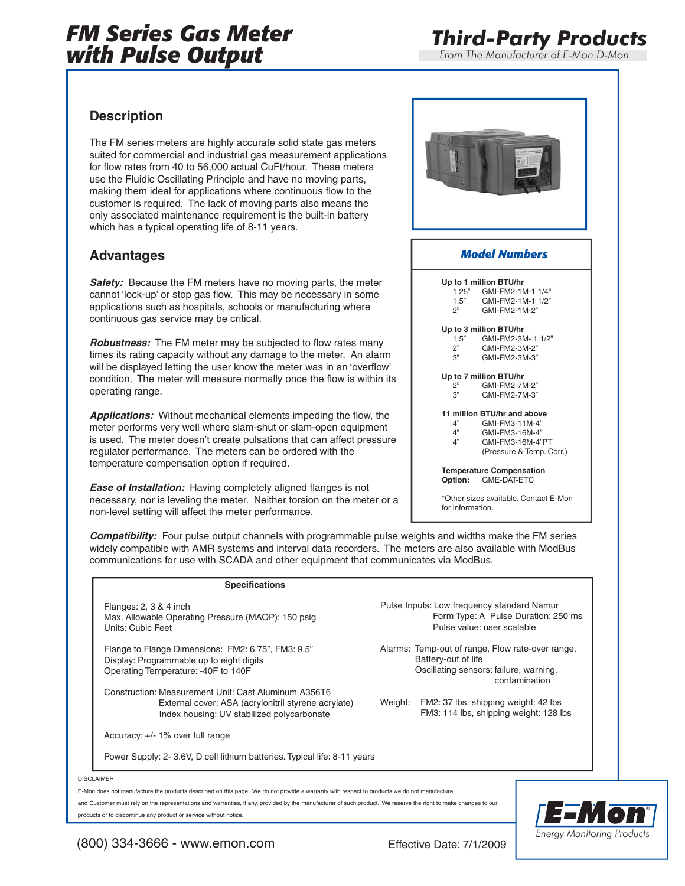# *FM Series Gas Meter with Pulse Output*

*Third-Party Products*

*From The Manufacturer of E-Mon D-Mon*

### **Description**

The FM series meters are highly accurate solid state gas meters suited for commercial and industrial gas measurement applications for flow rates from 40 to 56,000 actual CuFt/hour. These meters use the Fluidic Oscillating Principle and have no moving parts, making them ideal for applications where continuous flow to the customer is required. The lack of moving parts also means the only associated maintenance requirement is the built-in battery which has a typical operating life of 8-11 years.

## **Advantages**

**Safety:** Because the FM meters have no moving parts, the meter cannot 'lock-up' or stop gas flow. This may be necessary in some applications such as hospitals, schools or manufacturing where continuous gas service may be critical.

*Robustness:* The FM meter may be subjected to flow rates many times its rating capacity without any damage to the meter. An alarm will be displayed letting the user know the meter was in an 'overflow' condition. The meter will measure normally once the flow is within its operating range.

*Applications:* Without mechanical elements impeding the flow, the meter performs very well where slam-shut or slam-open equipment is used. The meter doesn't create pulsations that can affect pressure regulator performance. The meters can be ordered with the temperature compensation option if required.

*Ease of Installation:* Having completely aligned flanges is not necessary, nor is leveling the meter. Neither torsion on the meter or a non-level setting will affect the meter performance.



*Compatibility:* Four pulse output channels with programmable pulse weights and widths make the FM series widely compatible with AMR systems and interval data recorders. The meters are also available with ModBus communications for use with SCADA and other equipment that communicates via ModBus.

#### **Specifications**

Flanges: 2, 3 & 4 inch Max. Allowable Operating Pressure (MAOP): 150 psig Units: Cubic Feet

Flange to Flange Dimensions: FM2: 6.75", FM3: 9.5" Display: Programmable up to eight digits Operating Temperature: -40F to 140F

Construction: Measurement Unit: Cast Aluminum A356T6 External cover: ASA (acrylonitril styrene acrylate) Index housing: UV stabilized polycarbonate

Accuracy: +/- 1% over full range

Power Supply: 2- 3.6V, D cell lithium batteries. Typical life: 8-11 years

Pulse Inputs: Low frequency standard Namur Form Type: A Pulse Duration: 250 ms Pulse value: user scalable

Alarms: Temp-out of range, Flow rate-over range, Battery-out of life Oscillating sensors: failure, warning, contamination

Weight: FM2: 37 lbs, shipping weight: 42 lbs FM3: 114 lbs, shipping weight: 128 lbs

DISCLAIMER

E-Mon does not manufacture the products described on this page. We do not provide a warranty with respect to products we do not manufacture,

and Customer must rely on the representations and warranties, if any, provided by the manufacturer of such product. We reserve the right to make changes to our products or to discontinue any product or service without notice.



(800) 334-3666 - www.emon.com Effective Date: 7/1/2009